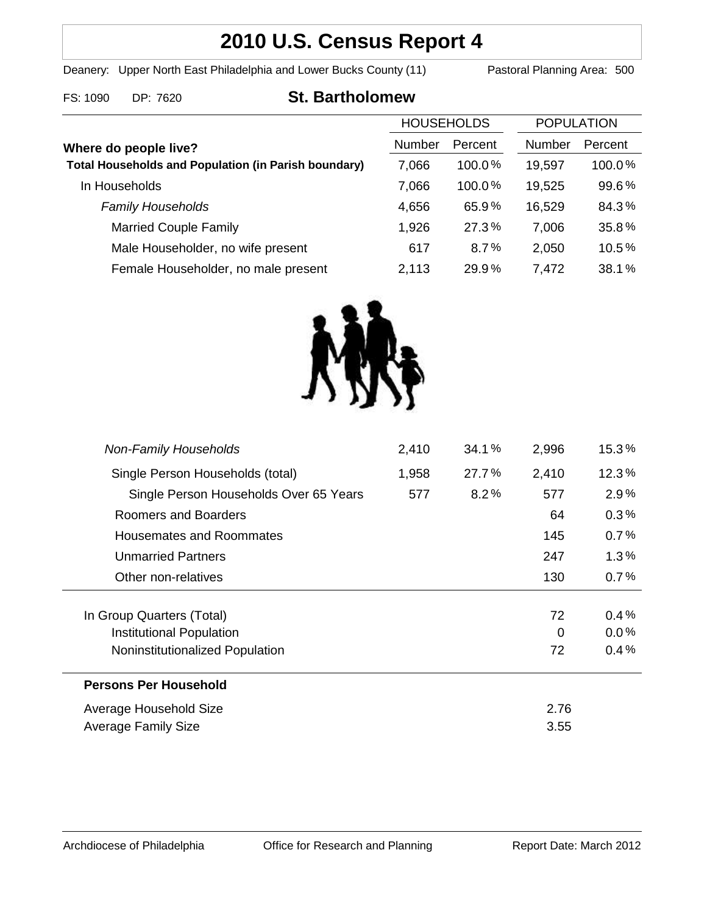# **2010 U.S. Census Report 4**

Deanery: Upper North East Philadelphia and Lower Bucks County (11) Pastoral Planning Area: 500

## FS: 1090 DP: 7620 **St. Bartholomew**

|                                                                                      | <b>HOUSEHOLDS</b> |           | <b>POPULATION</b> |         |
|--------------------------------------------------------------------------------------|-------------------|-----------|-------------------|---------|
| Where do people live?<br><b>Total Households and Population (in Parish boundary)</b> | Number            | Percent   | <b>Number</b>     | Percent |
|                                                                                      | 7,066             | 100.0%    | 19,597            | 100.0%  |
| In Households                                                                        | 7,066             | $100.0\%$ | 19,525            | 99.6%   |
| <b>Family Households</b>                                                             | 4,656             | 65.9%     | 16,529            | 84.3%   |
| <b>Married Couple Family</b>                                                         | 1,926             | 27.3%     | 7,006             | 35.8%   |
| Male Householder, no wife present                                                    | 617               | 8.7%      | 2,050             | 10.5%   |
| Female Householder, no male present                                                  | 2,113             | 29.9%     | 7,472             | 38.1%   |



| <b>Non-Family Households</b>           | 2,410 | 34.1% | 2,996 | 15.3%   |
|----------------------------------------|-------|-------|-------|---------|
| Single Person Households (total)       | 1,958 | 27.7% | 2,410 | 12.3%   |
| Single Person Households Over 65 Years | 577   | 8.2%  | 577   | 2.9%    |
| Roomers and Boarders                   |       |       | 64    | 0.3%    |
| Housemates and Roommates               |       |       | 145   | 0.7%    |
| <b>Unmarried Partners</b>              |       |       | 247   | 1.3%    |
| Other non-relatives                    |       |       | 130   | 0.7%    |
|                                        |       |       |       |         |
| In Group Quarters (Total)              |       |       | 72    | 0.4%    |
| Institutional Population               |       |       | 0     | $0.0\%$ |
| Noninstitutionalized Population        |       |       | 72    | 0.4%    |
| <b>Persons Per Household</b>           |       |       |       |         |
| Average Household Size                 |       |       | 2.76  |         |
| Average Family Size                    |       |       | 3.55  |         |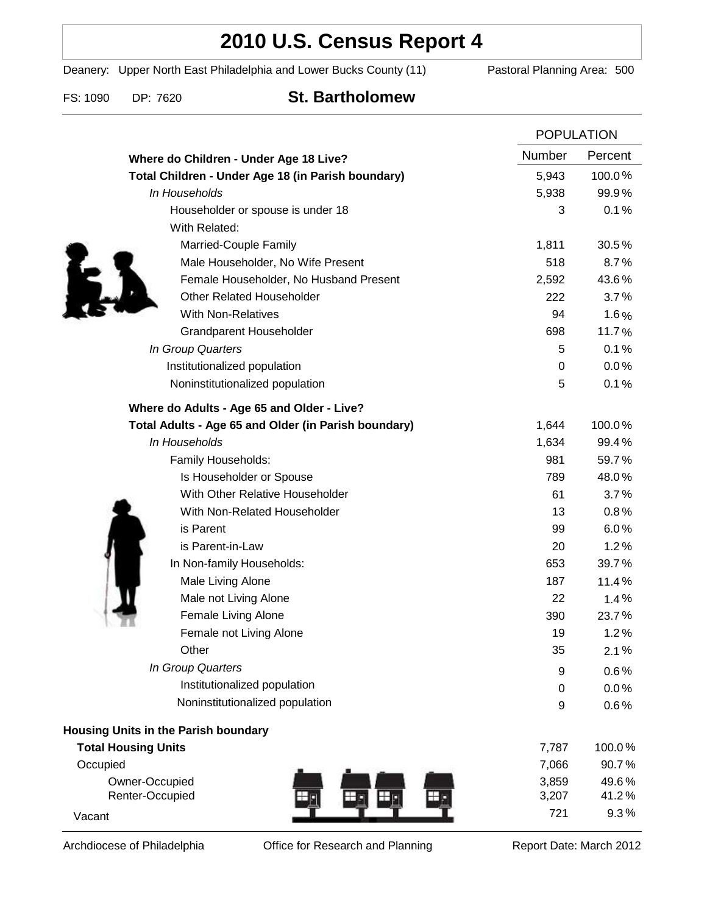# **2010 U.S. Census Report 4**

Deanery: Upper North East Philadelphia and Lower Bucks County (11) Pastoral Planning Area: 500

FS: 1090 DP: 7620 **St. Bartholomew**

|                                                      | <b>POPULATION</b> |         |
|------------------------------------------------------|-------------------|---------|
| Where do Children - Under Age 18 Live?               | Number            | Percent |
| Total Children - Under Age 18 (in Parish boundary)   | 5,943             | 100.0%  |
| In Households                                        | 5,938             | 99.9%   |
| Householder or spouse is under 18                    | 3                 | 0.1%    |
| With Related:                                        |                   |         |
| Married-Couple Family                                | 1,811             | 30.5%   |
| Male Householder, No Wife Present                    | 518               | 8.7%    |
| Female Householder, No Husband Present               | 2,592             | 43.6%   |
| <b>Other Related Householder</b>                     | 222               | 3.7%    |
| <b>With Non-Relatives</b>                            | 94                | 1.6%    |
| <b>Grandparent Householder</b>                       | 698               | 11.7%   |
| In Group Quarters                                    | 5                 | 0.1%    |
| Institutionalized population                         | 0                 | 0.0%    |
| Noninstitutionalized population                      | 5                 | 0.1%    |
| Where do Adults - Age 65 and Older - Live?           |                   |         |
| Total Adults - Age 65 and Older (in Parish boundary) | 1,644             | 100.0%  |
| In Households                                        | 1,634             | 99.4%   |
| Family Households:                                   | 981               | 59.7%   |
| Is Householder or Spouse                             | 789               | 48.0%   |
| With Other Relative Householder                      | 61                | 3.7%    |
| With Non-Related Householder                         | 13                | 0.8%    |
| is Parent                                            | 99                | 6.0%    |
| is Parent-in-Law                                     | 20                | 1.2%    |
| In Non-family Households:                            | 653               | 39.7%   |
| Male Living Alone                                    | 187               | 11.4%   |
| Male not Living Alone                                | 22                | 1.4%    |
| Female Living Alone                                  | 390               | 23.7%   |
| Female not Living Alone                              | 19                | 1.2%    |
| Other                                                | 35                | 2.1%    |
| In Group Quarters                                    | 9                 | 0.6%    |
| Institutionalized population                         | 0                 | 0.0%    |
| Noninstitutionalized population                      | 9                 | 0.6%    |
| <b>Housing Units in the Parish boundary</b>          |                   |         |
| <b>Total Housing Units</b>                           | 7,787             | 100.0%  |
| Occupied                                             | 7,066             | 90.7%   |
| Owner-Occupied                                       | 3,859             | 49.6%   |
| Renter-Occupied                                      | 3,207             | 41.2%   |
| Vacant                                               | 721               | 9.3%    |

Archdiocese of Philadelphia **Office for Research and Planning** Report Date: March 2012